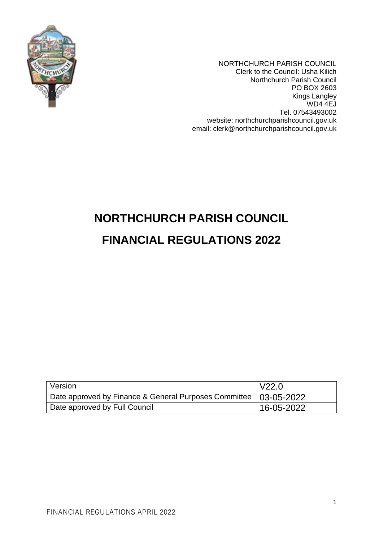

NORTHCHURCH PARISH COUNCIL Clerk to the Council: Usha Kilich Northchurch Parish Council PO BOX 2603 Kings Langley WD4 4EJ Tel. 07543493002 website: northchurchparishcouncil.gov.uk email: clerk@northchurchparishcouncil.gov.uk

# **NORTHCHURCH PARISH COUNCIL FINANCIAL REGULATIONS 2022**

| Version                                                            | V22.0      |
|--------------------------------------------------------------------|------------|
| Date approved by Finance & General Purposes Committee   03-05-2022 |            |
| Date approved by Full Council                                      | 16-05-2022 |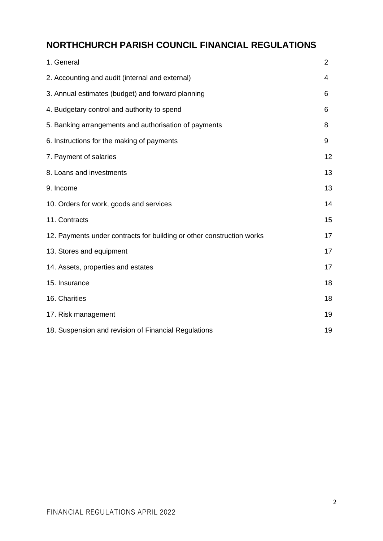# **NORTHCHURCH PARISH COUNCIL FINANCIAL REGULATIONS**

| 1. General                                                            | $\overline{2}$ |
|-----------------------------------------------------------------------|----------------|
| 2. Accounting and audit (internal and external)                       | 4              |
| 3. Annual estimates (budget) and forward planning                     | 6              |
| 4. Budgetary control and authority to spend                           | 6              |
| 5. Banking arrangements and authorisation of payments                 | 8              |
| 6. Instructions for the making of payments                            | 9              |
| 7. Payment of salaries                                                | 12             |
| 8. Loans and investments                                              | 13             |
| 9. Income                                                             | 13             |
| 10. Orders for work, goods and services                               | 14             |
| 11. Contracts                                                         | 15             |
| 12. Payments under contracts for building or other construction works | 17             |
| 13. Stores and equipment                                              | 17             |
| 14. Assets, properties and estates                                    | 17             |
| 15. Insurance                                                         | 18             |
| 16. Charities                                                         | 18             |
| 17. Risk management                                                   | 19             |
| 18. Suspension and revision of Financial Regulations                  | 19             |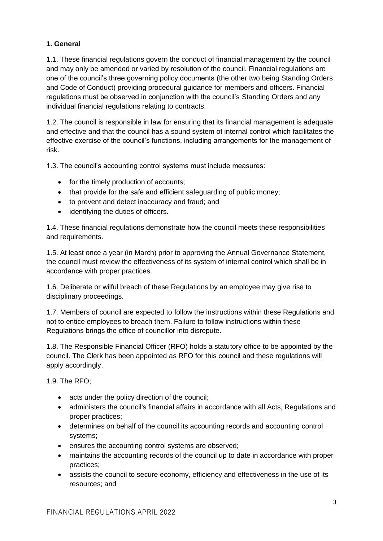# **1. General**

1.1. These financial regulations govern the conduct of financial management by the council and may only be amended or varied by resolution of the council. Financial regulations are one of the council's three governing policy documents (the other two being Standing Orders and Code of Conduct) providing procedural guidance for members and officers. Financial regulations must be observed in conjunction with the council's Standing Orders and any individual financial regulations relating to contracts.

1.2. The council is responsible in law for ensuring that its financial management is adequate and effective and that the council has a sound system of internal control which facilitates the effective exercise of the council's functions, including arrangements for the management of risk.

1.3. The council's accounting control systems must include measures:

- for the timely production of accounts;
- that provide for the safe and efficient safeguarding of public money;
- to prevent and detect inaccuracy and fraud; and
- identifying the duties of officers.

1.4. These financial regulations demonstrate how the council meets these responsibilities and requirements.

1.5. At least once a year (in March) prior to approving the Annual Governance Statement, the council must review the effectiveness of its system of internal control which shall be in accordance with proper practices.

1.6. Deliberate or wilful breach of these Regulations by an employee may give rise to disciplinary proceedings.

1.7. Members of council are expected to follow the instructions within these Regulations and not to entice employees to breach them. Failure to follow instructions within these Regulations brings the office of councillor into disrepute.

1.8. The Responsible Financial Officer (RFO) holds a statutory office to be appointed by the council. The Clerk has been appointed as RFO for this council and these regulations will apply accordingly.

1.9. The RFO;

- acts under the policy direction of the council;
- administers the council's financial affairs in accordance with all Acts, Regulations and proper practices;
- determines on behalf of the council its accounting records and accounting control systems;
- ensures the accounting control systems are observed;
- maintains the accounting records of the council up to date in accordance with proper practices;
- assists the council to secure economy, efficiency and effectiveness in the use of its resources; and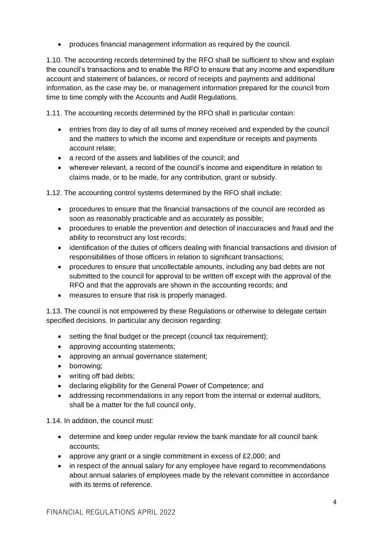• produces financial management information as required by the council.

1.10. The accounting records determined by the RFO shall be sufficient to show and explain the council's transactions and to enable the RFO to ensure that any income and expenditure account and statement of balances, or record of receipts and payments and additional information, as the case may be, or management information prepared for the council from time to time comply with the Accounts and Audit Regulations.

1.11. The accounting records determined by the RFO shall in particular contain:

- entries from day to day of all sums of money received and expended by the council and the matters to which the income and expenditure or receipts and payments account relate;
- a record of the assets and liabilities of the council; and
- wherever relevant, a record of the council's income and expenditure in relation to claims made, or to be made, for any contribution, grant or subsidy.

1.12. The accounting control systems determined by the RFO shall include:

- procedures to ensure that the financial transactions of the council are recorded as soon as reasonably practicable and as accurately as possible;
- procedures to enable the prevention and detection of inaccuracies and fraud and the ability to reconstruct any lost records;
- identification of the duties of officers dealing with financial transactions and division of responsibilities of those officers in relation to significant transactions;
- procedures to ensure that uncollectable amounts, including any bad debts are not submitted to the council for approval to be written off except with the approval of the RFO and that the approvals are shown in the accounting records; and
- measures to ensure that risk is properly managed.

1.13. The council is not empowered by these Regulations or otherwise to delegate certain specified decisions. In particular any decision regarding:

- setting the final budget or the precept (council tax requirement);
- approving accounting statements;
- approving an annual governance statement:
- borrowing;
- writing off bad debts;
- declaring eligibility for the General Power of Competence; and
- addressing recommendations in any report from the internal or external auditors, shall be a matter for the full council only.

1.14. In addition, the council must:

- determine and keep under regular review the bank mandate for all council bank accounts;
- approve any grant or a single commitment in excess of £2,000; and
- in respect of the annual salary for any employee have regard to recommendations about annual salaries of employees made by the relevant committee in accordance with its terms of reference.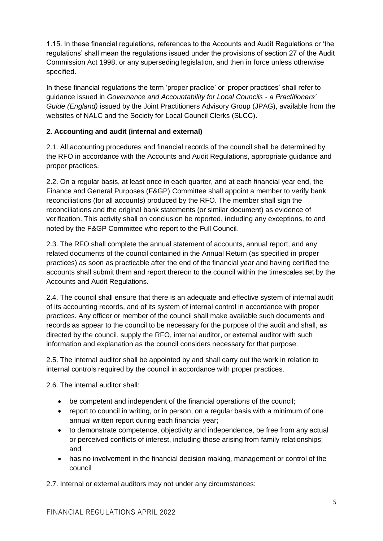1.15. In these financial regulations, references to the Accounts and Audit Regulations or 'the regulations' shall mean the regulations issued under the provisions of section 27 of the Audit Commission Act 1998, or any superseding legislation, and then in force unless otherwise specified.

In these financial regulations the term 'proper practice' or 'proper practices' shall refer to guidance issued in *Governance and Accountability for Local Councils - a Practitioners' Guide (England)* issued by the Joint Practitioners Advisory Group (JPAG), available from the websites of NALC and the Society for Local Council Clerks (SLCC).

# **2. Accounting and audit (internal and external)**

2.1. All accounting procedures and financial records of the council shall be determined by the RFO in accordance with the Accounts and Audit Regulations, appropriate guidance and proper practices.

2.2. On a regular basis, at least once in each quarter, and at each financial year end, the Finance and General Purposes (F&GP) Committee shall appoint a member to verify bank reconciliations (for all accounts) produced by the RFO. The member shall sign the reconciliations and the original bank statements (or similar document) as evidence of verification. This activity shall on conclusion be reported, including any exceptions, to and noted by the F&GP Committee who report to the Full Council.

2.3. The RFO shall complete the annual statement of accounts, annual report, and any related documents of the council contained in the Annual Return (as specified in proper practices) as soon as practicable after the end of the financial year and having certified the accounts shall submit them and report thereon to the council within the timescales set by the Accounts and Audit Regulations.

2.4. The council shall ensure that there is an adequate and effective system of internal audit of its accounting records, and of its system of internal control in accordance with proper practices. Any officer or member of the council shall make available such documents and records as appear to the council to be necessary for the purpose of the audit and shall, as directed by the council, supply the RFO, internal auditor, or external auditor with such information and explanation as the council considers necessary for that purpose.

2.5. The internal auditor shall be appointed by and shall carry out the work in relation to internal controls required by the council in accordance with proper practices.

2.6. The internal auditor shall:

- be competent and independent of the financial operations of the council;
- report to council in writing, or in person, on a regular basis with a minimum of one annual written report during each financial year;
- to demonstrate competence, objectivity and independence, be free from any actual or perceived conflicts of interest, including those arising from family relationships; and
- has no involvement in the financial decision making, management or control of the council

2.7. Internal or external auditors may not under any circumstances: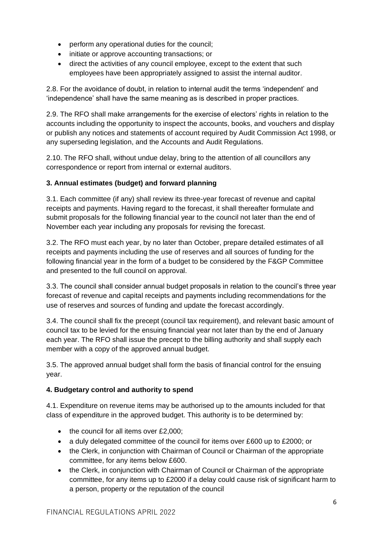- perform any operational duties for the council;
- initiate or approve accounting transactions; or
- direct the activities of any council employee, except to the extent that such employees have been appropriately assigned to assist the internal auditor.

2.8. For the avoidance of doubt, in relation to internal audit the terms 'independent' and 'independence' shall have the same meaning as is described in proper practices.

2.9. The RFO shall make arrangements for the exercise of electors' rights in relation to the accounts including the opportunity to inspect the accounts, books, and vouchers and display or publish any notices and statements of account required by Audit Commission Act 1998, or any superseding legislation, and the Accounts and Audit Regulations.

2.10. The RFO shall, without undue delay, bring to the attention of all councillors any correspondence or report from internal or external auditors.

# **3. Annual estimates (budget) and forward planning**

3.1. Each committee (if any) shall review its three-year forecast of revenue and capital receipts and payments. Having regard to the forecast, it shall thereafter formulate and submit proposals for the following financial year to the council not later than the end of November each year including any proposals for revising the forecast.

3.2. The RFO must each year, by no later than October, prepare detailed estimates of all receipts and payments including the use of reserves and all sources of funding for the following financial year in the form of a budget to be considered by the F&GP Committee and presented to the full council on approval.

3.3. The council shall consider annual budget proposals in relation to the council's three year forecast of revenue and capital receipts and payments including recommendations for the use of reserves and sources of funding and update the forecast accordingly.

3.4. The council shall fix the precept (council tax requirement), and relevant basic amount of council tax to be levied for the ensuing financial year not later than by the end of January each year. The RFO shall issue the precept to the billing authority and shall supply each member with a copy of the approved annual budget.

3.5. The approved annual budget shall form the basis of financial control for the ensuing year.

# **4. Budgetary control and authority to spend**

4.1. Expenditure on revenue items may be authorised up to the amounts included for that class of expenditure in the approved budget. This authority is to be determined by:

- the council for all items over £2,000;
- a duly delegated committee of the council for items over £600 up to £2000; or
- the Clerk, in conjunction with Chairman of Council or Chairman of the appropriate committee, for any items below £600.
- the Clerk, in conjunction with Chairman of Council or Chairman of the appropriate committee, for any items up to £2000 if a delay could cause risk of significant harm to a person, property or the reputation of the council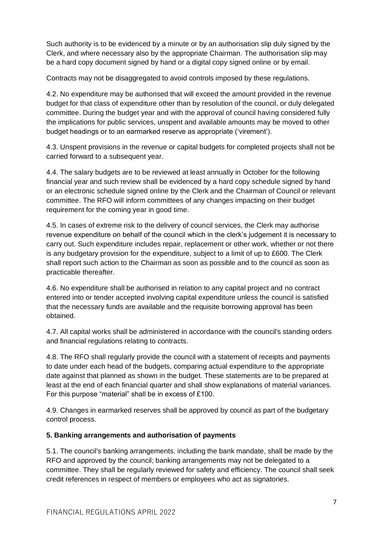Such authority is to be evidenced by a minute or by an authorisation slip duly signed by the Clerk, and where necessary also by the appropriate Chairman. The authorisation slip may be a hard copy document signed by hand or a digital copy signed online or by email.

Contracts may not be disaggregated to avoid controls imposed by these regulations.

4.2. No expenditure may be authorised that will exceed the amount provided in the revenue budget for that class of expenditure other than by resolution of the council, or duly delegated committee. During the budget year and with the approval of council having considered fully the implications for public services, unspent and available amounts may be moved to other budget headings or to an earmarked reserve as appropriate ('virement').

4.3. Unspent provisions in the revenue or capital budgets for completed projects shall not be carried forward to a subsequent year.

4.4. The salary budgets are to be reviewed at least annually in October for the following financial year and such review shall be evidenced by a hard copy schedule signed by hand or an electronic schedule signed online by the Clerk and the Chairman of Council or relevant committee. The RFO will inform committees of any changes impacting on their budget requirement for the coming year in good time.

4.5. In cases of extreme risk to the delivery of council services, the Clerk may authorise revenue expenditure on behalf of the council which in the clerk's judgement it is necessary to carry out. Such expenditure includes repair, replacement or other work, whether or not there is any budgetary provision for the expenditure, subject to a limit of up to £600. The Clerk shall report such action to the Chairman as soon as possible and to the council as soon as practicable thereafter.

4.6. No expenditure shall be authorised in relation to any capital project and no contract entered into or tender accepted involving capital expenditure unless the council is satisfied that the necessary funds are available and the requisite borrowing approval has been obtained.

4.7. All capital works shall be administered in accordance with the council's standing orders and financial regulations relating to contracts.

4.8. The RFO shall regularly provide the council with a statement of receipts and payments to date under each head of the budgets, comparing actual expenditure to the appropriate date against that planned as shown in the budget. These statements are to be prepared at least at the end of each financial quarter and shall show explanations of material variances. For this purpose "material" shall be in excess of £100.

4.9. Changes in earmarked reserves shall be approved by council as part of the budgetary control process.

# **5. Banking arrangements and authorisation of payments**

5.1. The council's banking arrangements, including the bank mandate, shall be made by the RFO and approved by the council; banking arrangements may not be delegated to a committee. They shall be regularly reviewed for safety and efficiency. The council shall seek credit references in respect of members or employees who act as signatories.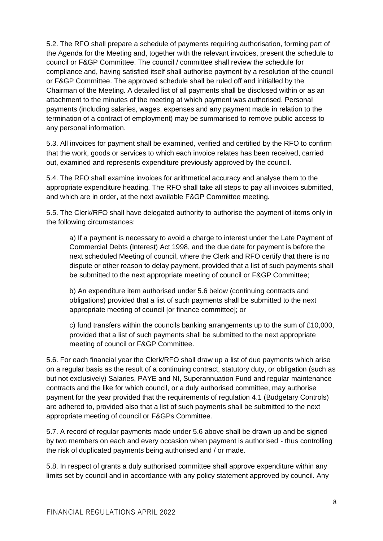5.2. The RFO shall prepare a schedule of payments requiring authorisation, forming part of the Agenda for the Meeting and, together with the relevant invoices, present the schedule to council or F&GP Committee. The council / committee shall review the schedule for compliance and, having satisfied itself shall authorise payment by a resolution of the council or F&GP Committee. The approved schedule shall be ruled off and initialled by the Chairman of the Meeting. A detailed list of all payments shall be disclosed within or as an attachment to the minutes of the meeting at which payment was authorised. Personal payments (including salaries, wages, expenses and any payment made in relation to the termination of a contract of employment) may be summarised to remove public access to any personal information.

5.3. All invoices for payment shall be examined, verified and certified by the RFO to confirm that the work, goods or services to which each invoice relates has been received, carried out, examined and represents expenditure previously approved by the council.

5.4. The RFO shall examine invoices for arithmetical accuracy and analyse them to the appropriate expenditure heading. The RFO shall take all steps to pay all invoices submitted, and which are in order, at the next available F&GP Committee meeting.

5.5. The Clerk/RFO shall have delegated authority to authorise the payment of items only in the following circumstances:

a) If a payment is necessary to avoid a charge to interest under the Late Payment of Commercial Debts (Interest) Act 1998, and the due date for payment is before the next scheduled Meeting of council, where the Clerk and RFO certify that there is no dispute or other reason to delay payment, provided that a list of such payments shall be submitted to the next appropriate meeting of council or F&GP Committee;

b) An expenditure item authorised under 5.6 below (continuing contracts and obligations) provided that a list of such payments shall be submitted to the next appropriate meeting of council [or finance committee]; or

c) fund transfers within the councils banking arrangements up to the sum of £10,000, provided that a list of such payments shall be submitted to the next appropriate meeting of council or F&GP Committee.

5.6. For each financial year the Clerk/RFO shall draw up a list of due payments which arise on a regular basis as the result of a continuing contract, statutory duty, or obligation (such as but not exclusively) Salaries, PAYE and NI, Superannuation Fund and regular maintenance contracts and the like for which council, or a duly authorised committee, may authorise payment for the year provided that the requirements of regulation 4.1 (Budgetary Controls) are adhered to, provided also that a list of such payments shall be submitted to the next appropriate meeting of council or F&GPs Committee.

5.7. A record of regular payments made under 5.6 above shall be drawn up and be signed by two members on each and every occasion when payment is authorised - thus controlling the risk of duplicated payments being authorised and / or made.

5.8. In respect of grants a duly authorised committee shall approve expenditure within any limits set by council and in accordance with any policy statement approved by council. Any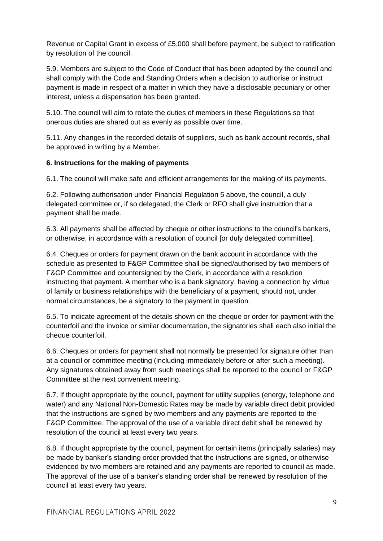Revenue or Capital Grant in excess of £5,000 shall before payment, be subject to ratification by resolution of the council.

5.9. Members are subject to the Code of Conduct that has been adopted by the council and shall comply with the Code and Standing Orders when a decision to authorise or instruct payment is made in respect of a matter in which they have a disclosable pecuniary or other interest, unless a dispensation has been granted.

5.10. The council will aim to rotate the duties of members in these Regulations so that onerous duties are shared out as evenly as possible over time.

5.11. Any changes in the recorded details of suppliers, such as bank account records, shall be approved in writing by a Member.

# **6. Instructions for the making of payments**

6.1. The council will make safe and efficient arrangements for the making of its payments.

6.2. Following authorisation under Financial Regulation 5 above, the council, a duly delegated committee or, if so delegated, the Clerk or RFO shall give instruction that a payment shall be made.

6.3. All payments shall be affected by cheque or other instructions to the council's bankers, or otherwise, in accordance with a resolution of council [or duly delegated committee].

6.4. Cheques or orders for payment drawn on the bank account in accordance with the schedule as presented to F&GP Committee shall be signed/authorised by two members of F&GP Committee and countersigned by the Clerk, in accordance with a resolution instructing that payment. A member who is a bank signatory, having a connection by virtue of family or business relationships with the beneficiary of a payment, should not, under normal circumstances, be a signatory to the payment in question.

6.5. To indicate agreement of the details shown on the cheque or order for payment with the counterfoil and the invoice or similar documentation, the signatories shall each also initial the cheque counterfoil.

6.6. Cheques or orders for payment shall not normally be presented for signature other than at a council or committee meeting (including immediately before or after such a meeting). Any signatures obtained away from such meetings shall be reported to the council or F&GP Committee at the next convenient meeting.

6.7. If thought appropriate by the council, payment for utility supplies (energy, telephone and water) and any National Non-Domestic Rates may be made by variable direct debit provided that the instructions are signed by two members and any payments are reported to the F&GP Committee. The approval of the use of a variable direct debit shall be renewed by resolution of the council at least every two years.

6.8. If thought appropriate by the council, payment for certain items (principally salaries) may be made by banker's standing order provided that the instructions are signed, or otherwise evidenced by two members are retained and any payments are reported to council as made. The approval of the use of a banker's standing order shall be renewed by resolution of the council at least every two years.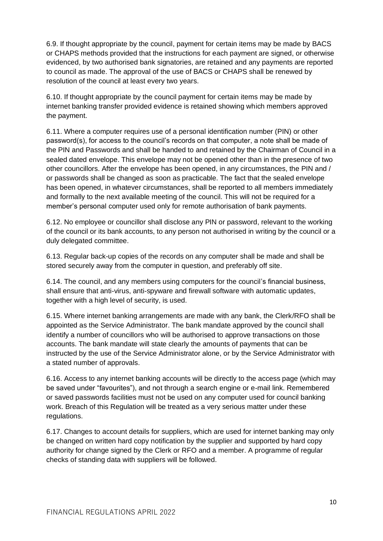6.9. If thought appropriate by the council, payment for certain items may be made by BACS or CHAPS methods provided that the instructions for each payment are signed, or otherwise evidenced, by two authorised bank signatories, are retained and any payments are reported to council as made. The approval of the use of BACS or CHAPS shall be renewed by resolution of the council at least every two years.

6.10. If thought appropriate by the council payment for certain items may be made by internet banking transfer provided evidence is retained showing which members approved the payment.

6.11. Where a computer requires use of a personal identification number (PIN) or other password(s), for access to the council's records on that computer, a note shall be made of the PIN and Passwords and shall be handed to and retained by the Chairman of Council in a sealed dated envelope. This envelope may not be opened other than in the presence of two other councillors. After the envelope has been opened, in any circumstances, the PIN and / or passwords shall be changed as soon as practicable. The fact that the sealed envelope has been opened, in whatever circumstances, shall be reported to all members immediately and formally to the next available meeting of the council. This will not be required for a member's personal computer used only for remote authorisation of bank payments.

6.12. No employee or councillor shall disclose any PIN or password, relevant to the working of the council or its bank accounts, to any person not authorised in writing by the council or a duly delegated committee.

6.13. Regular back-up copies of the records on any computer shall be made and shall be stored securely away from the computer in question, and preferably off site.

6.14. The council, and any members using computers for the council's financial business, shall ensure that anti-virus, anti-spyware and firewall software with automatic updates, together with a high level of security, is used.

6.15. Where internet banking arrangements are made with any bank, the Clerk/RFO shall be appointed as the Service Administrator. The bank mandate approved by the council shall identify a number of councillors who will be authorised to approve transactions on those accounts. The bank mandate will state clearly the amounts of payments that can be instructed by the use of the Service Administrator alone, or by the Service Administrator with a stated number of approvals.

6.16. Access to any internet banking accounts will be directly to the access page (which may be saved under "favourites"), and not through a search engine or e-mail link. Remembered or saved passwords facilities must not be used on any computer used for council banking work. Breach of this Regulation will be treated as a very serious matter under these regulations.

6.17. Changes to account details for suppliers, which are used for internet banking may only be changed on written hard copy notification by the supplier and supported by hard copy authority for change signed by the Clerk or RFO and a member. A programme of regular checks of standing data with suppliers will be followed.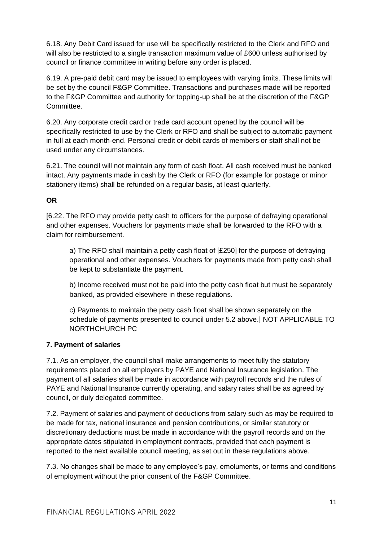6.18. Any Debit Card issued for use will be specifically restricted to the Clerk and RFO and will also be restricted to a single transaction maximum value of £600 unless authorised by council or finance committee in writing before any order is placed.

6.19. A pre-paid debit card may be issued to employees with varying limits. These limits will be set by the council F&GP Committee. Transactions and purchases made will be reported to the F&GP Committee and authority for topping-up shall be at the discretion of the F&GP Committee.

6.20. Any corporate credit card or trade card account opened by the council will be specifically restricted to use by the Clerk or RFO and shall be subject to automatic payment in full at each month-end. Personal credit or debit cards of members or staff shall not be used under any circumstances.

6.21. The council will not maintain any form of cash float. All cash received must be banked intact. Any payments made in cash by the Clerk or RFO (for example for postage or minor stationery items) shall be refunded on a regular basis, at least quarterly.

# **OR**

[6.22. The RFO may provide petty cash to officers for the purpose of defraying operational and other expenses. Vouchers for payments made shall be forwarded to the RFO with a claim for reimbursement.

a) The RFO shall maintain a petty cash float of [£250] for the purpose of defraying operational and other expenses. Vouchers for payments made from petty cash shall be kept to substantiate the payment.

b) Income received must not be paid into the petty cash float but must be separately banked, as provided elsewhere in these regulations.

c) Payments to maintain the petty cash float shall be shown separately on the schedule of payments presented to council under 5.2 above.] NOT APPLICABLE TO NORTHCHURCH PC

# **7. Payment of salaries**

7.1. As an employer, the council shall make arrangements to meet fully the statutory requirements placed on all employers by PAYE and National Insurance legislation. The payment of all salaries shall be made in accordance with payroll records and the rules of PAYE and National Insurance currently operating, and salary rates shall be as agreed by council, or duly delegated committee.

7.2. Payment of salaries and payment of deductions from salary such as may be required to be made for tax, national insurance and pension contributions, or similar statutory or discretionary deductions must be made in accordance with the payroll records and on the appropriate dates stipulated in employment contracts, provided that each payment is reported to the next available council meeting, as set out in these regulations above.

7.3. No changes shall be made to any employee's pay, emoluments, or terms and conditions of employment without the prior consent of the F&GP Committee.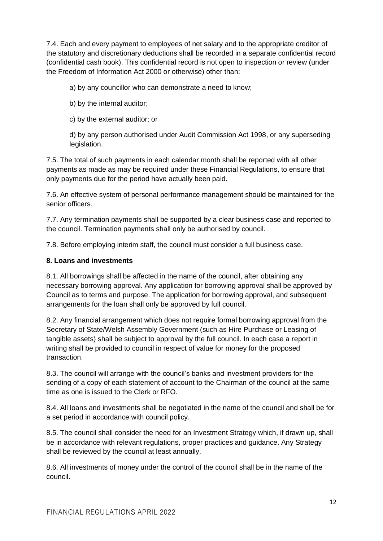7.4. Each and every payment to employees of net salary and to the appropriate creditor of the statutory and discretionary deductions shall be recorded in a separate confidential record (confidential cash book). This confidential record is not open to inspection or review (under the Freedom of Information Act 2000 or otherwise) other than:

a) by any councillor who can demonstrate a need to know;

b) by the internal auditor;

c) by the external auditor; or

d) by any person authorised under Audit Commission Act 1998, or any superseding legislation.

7.5. The total of such payments in each calendar month shall be reported with all other payments as made as may be required under these Financial Regulations, to ensure that only payments due for the period have actually been paid.

7.6. An effective system of personal performance management should be maintained for the senior officers.

7.7. Any termination payments shall be supported by a clear business case and reported to the council. Termination payments shall only be authorised by council.

7.8. Before employing interim staff, the council must consider a full business case.

# **8. Loans and investments**

8.1. All borrowings shall be affected in the name of the council, after obtaining any necessary borrowing approval. Any application for borrowing approval shall be approved by Council as to terms and purpose. The application for borrowing approval, and subsequent arrangements for the loan shall only be approved by full council.

8.2. Any financial arrangement which does not require formal borrowing approval from the Secretary of State/Welsh Assembly Government (such as Hire Purchase or Leasing of tangible assets) shall be subject to approval by the full council. In each case a report in writing shall be provided to council in respect of value for money for the proposed transaction.

8.3. The council will arrange with the council's banks and investment providers for the sending of a copy of each statement of account to the Chairman of the council at the same time as one is issued to the Clerk or RFO.

8.4. All loans and investments shall be negotiated in the name of the council and shall be for a set period in accordance with council policy.

8.5. The council shall consider the need for an Investment Strategy which, if drawn up, shall be in accordance with relevant regulations, proper practices and guidance. Any Strategy shall be reviewed by the council at least annually.

8.6. All investments of money under the control of the council shall be in the name of the council.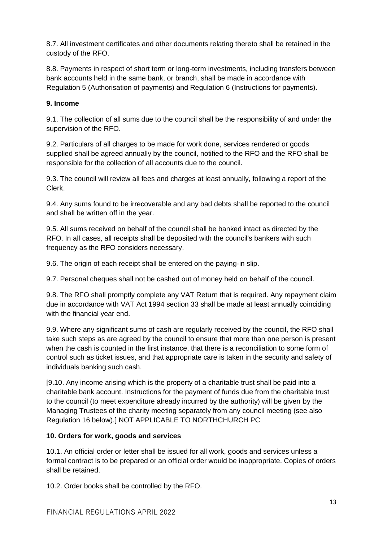8.7. All investment certificates and other documents relating thereto shall be retained in the custody of the RFO.

8.8. Payments in respect of short term or long-term investments, including transfers between bank accounts held in the same bank, or branch, shall be made in accordance with Regulation 5 (Authorisation of payments) and Regulation 6 (Instructions for payments).

# **9. Income**

9.1. The collection of all sums due to the council shall be the responsibility of and under the supervision of the RFO.

9.2. Particulars of all charges to be made for work done, services rendered or goods supplied shall be agreed annually by the council, notified to the RFO and the RFO shall be responsible for the collection of all accounts due to the council.

9.3. The council will review all fees and charges at least annually, following a report of the Clerk.

9.4. Any sums found to be irrecoverable and any bad debts shall be reported to the council and shall be written off in the year.

9.5. All sums received on behalf of the council shall be banked intact as directed by the RFO. In all cases, all receipts shall be deposited with the council's bankers with such frequency as the RFO considers necessary.

9.6. The origin of each receipt shall be entered on the paying-in slip.

9.7. Personal cheques shall not be cashed out of money held on behalf of the council.

9.8. The RFO shall promptly complete any VAT Return that is required. Any repayment claim due in accordance with VAT Act 1994 section 33 shall be made at least annually coinciding with the financial year end.

9.9. Where any significant sums of cash are regularly received by the council, the RFO shall take such steps as are agreed by the council to ensure that more than one person is present when the cash is counted in the first instance, that there is a reconciliation to some form of control such as ticket issues, and that appropriate care is taken in the security and safety of individuals banking such cash.

[9.10. Any income arising which is the property of a charitable trust shall be paid into a charitable bank account. Instructions for the payment of funds due from the charitable trust to the council (to meet expenditure already incurred by the authority) will be given by the Managing Trustees of the charity meeting separately from any council meeting (see also Regulation 16 below).] NOT APPLICABLE TO NORTHCHURCH PC

# **10. Orders for work, goods and services**

10.1. An official order or letter shall be issued for all work, goods and services unless a formal contract is to be prepared or an official order would be inappropriate. Copies of orders shall be retained.

10.2. Order books shall be controlled by the RFO.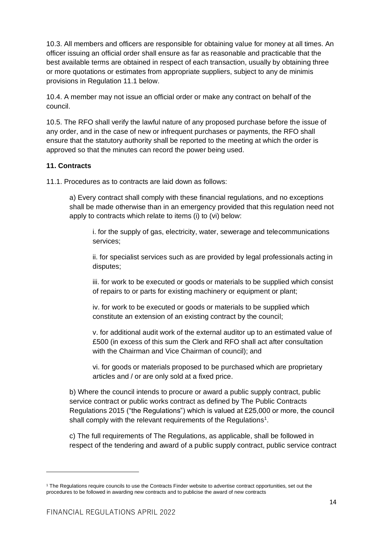10.3. All members and officers are responsible for obtaining value for money at all times. An officer issuing an official order shall ensure as far as reasonable and practicable that the best available terms are obtained in respect of each transaction, usually by obtaining three or more quotations or estimates from appropriate suppliers, subject to any de minimis provisions in Regulation 11.1 below.

10.4. A member may not issue an official order or make any contract on behalf of the council.

10.5. The RFO shall verify the lawful nature of any proposed purchase before the issue of any order, and in the case of new or infrequent purchases or payments, the RFO shall ensure that the statutory authority shall be reported to the meeting at which the order is approved so that the minutes can record the power being used.

# **11. Contracts**

11.1. Procedures as to contracts are laid down as follows:

a) Every contract shall comply with these financial regulations, and no exceptions shall be made otherwise than in an emergency provided that this regulation need not apply to contracts which relate to items (i) to (vi) below:

i. for the supply of gas, electricity, water, sewerage and telecommunications services;

ii. for specialist services such as are provided by legal professionals acting in disputes;

iii. for work to be executed or goods or materials to be supplied which consist of repairs to or parts for existing machinery or equipment or plant;

iv. for work to be executed or goods or materials to be supplied which constitute an extension of an existing contract by the council;

v. for additional audit work of the external auditor up to an estimated value of £500 (in excess of this sum the Clerk and RFO shall act after consultation with the Chairman and Vice Chairman of council); and

vi. for goods or materials proposed to be purchased which are proprietary articles and / or are only sold at a fixed price.

b) Where the council intends to procure or award a public supply contract, public service contract or public works contract as defined by The Public Contracts Regulations 2015 ("the Regulations") which is valued at £25,000 or more, the council shall comply with the relevant requirements of the Regulations<sup>1</sup>.

c) The full requirements of The Regulations, as applicable, shall be followed in respect of the tendering and award of a public supply contract, public service contract

<sup>1</sup> The Regulations require councils to use the Contracts Finder website to advertise contract opportunities, set out the procedures to be followed in awarding new contracts and to publicise the award of new contracts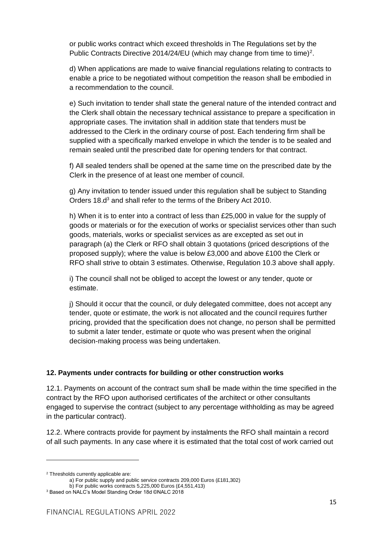or public works contract which exceed thresholds in The Regulations set by the Public Contracts Directive 2014/24/EU (which may change from time to time)<sup>2</sup>.

d) When applications are made to waive financial regulations relating to contracts to enable a price to be negotiated without competition the reason shall be embodied in a recommendation to the council.

e) Such invitation to tender shall state the general nature of the intended contract and the Clerk shall obtain the necessary technical assistance to prepare a specification in appropriate cases. The invitation shall in addition state that tenders must be addressed to the Clerk in the ordinary course of post. Each tendering firm shall be supplied with a specifically marked envelope in which the tender is to be sealed and remain sealed until the prescribed date for opening tenders for that contract.

f) All sealed tenders shall be opened at the same time on the prescribed date by the Clerk in the presence of at least one member of council.

g) Any invitation to tender issued under this regulation shall be subject to Standing Orders 18.d<sup>3</sup> and shall refer to the terms of the Bribery Act 2010.

h) When it is to enter into a contract of less than £25,000 in value for the supply of goods or materials or for the execution of works or specialist services other than such goods, materials, works or specialist services as are excepted as set out in paragraph (a) the Clerk or RFO shall obtain 3 quotations (priced descriptions of the proposed supply); where the value is below £3,000 and above £100 the Clerk or RFO shall strive to obtain 3 estimates. Otherwise, Regulation 10.3 above shall apply.

i) The council shall not be obliged to accept the lowest or any tender, quote or estimate.

j) Should it occur that the council, or duly delegated committee, does not accept any tender, quote or estimate, the work is not allocated and the council requires further pricing, provided that the specification does not change, no person shall be permitted to submit a later tender, estimate or quote who was present when the original decision-making process was being undertaken.

#### **12. Payments under contracts for building or other construction works**

12.1. Payments on account of the contract sum shall be made within the time specified in the contract by the RFO upon authorised certificates of the architect or other consultants engaged to supervise the contract (subject to any percentage withholding as may be agreed in the particular contract).

12.2. Where contracts provide for payment by instalments the RFO shall maintain a record of all such payments. In any case where it is estimated that the total cost of work carried out

<sup>2</sup> Thresholds currently applicable are:

a) For public supply and public service contracts 209,000 Euros (£181,302)

b) For public works contracts 5,225,000 Euros (£4,551,413)

<sup>3</sup> Based on NALC's Model Standing Order 18d ©NALC 2018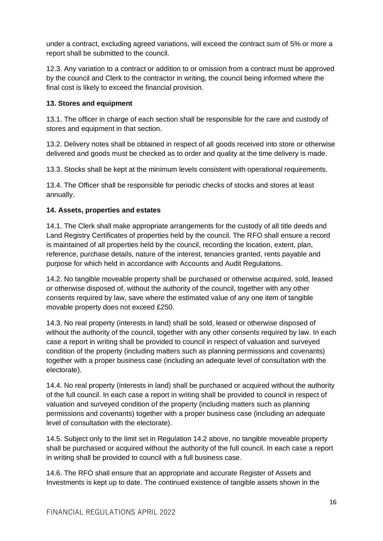under a contract, excluding agreed variations, will exceed the contract sum of 5% or more a report shall be submitted to the council.

12.3. Any variation to a contract or addition to or omission from a contract must be approved by the council and Clerk to the contractor in writing, the council being informed where the final cost is likely to exceed the financial provision.

# **13. Stores and equipment**

13.1. The officer in charge of each section shall be responsible for the care and custody of stores and equipment in that section.

13.2. Delivery notes shall be obtained in respect of all goods received into store or otherwise delivered and goods must be checked as to order and quality at the time delivery is made.

13.3. Stocks shall be kept at the minimum levels consistent with operational requirements.

13.4. The Officer shall be responsible for periodic checks of stocks and stores at least annually.

# **14. Assets, properties and estates**

14.1. The Clerk shall make appropriate arrangements for the custody of all title deeds and Land Registry Certificates of properties held by the council. The RFO shall ensure a record is maintained of all properties held by the council, recording the location, extent, plan, reference, purchase details, nature of the interest, tenancies granted, rents payable and purpose for which held in accordance with Accounts and Audit Regulations.

14.2. No tangible moveable property shall be purchased or otherwise acquired, sold, leased or otherwise disposed of, without the authority of the council, together with any other consents required by law, save where the estimated value of any one item of tangible movable property does not exceed £250.

14.3. No real property (interests in land) shall be sold, leased or otherwise disposed of without the authority of the council, together with any other consents required by law. In each case a report in writing shall be provided to council in respect of valuation and surveyed condition of the property (including matters such as planning permissions and covenants) together with a proper business case (including an adequate level of consultation with the electorate).

14.4. No real property (interests in land) shall be purchased or acquired without the authority of the full council. In each case a report in writing shall be provided to council in respect of valuation and surveyed condition of the property (including matters such as planning permissions and covenants) together with a proper business case (including an adequate level of consultation with the electorate).

14.5. Subject only to the limit set in Regulation 14.2 above, no tangible moveable property shall be purchased or acquired without the authority of the full council. In each case a report in writing shall be provided to council with a full business case.

14.6. The RFO shall ensure that an appropriate and accurate Register of Assets and Investments is kept up to date. The continued existence of tangible assets shown in the